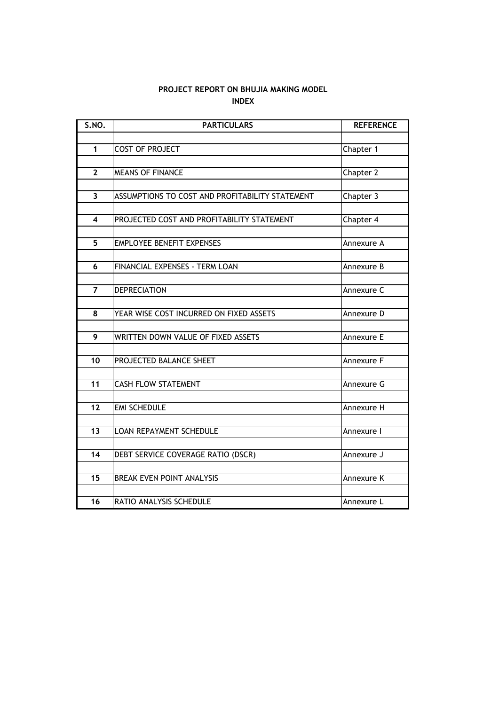# **INDEX PROJECT REPORT ON BHUJIA MAKING MODEL**

| <b>S.NO.</b>            | <b>PARTICULARS</b>                              | <b>REFERENCE</b> |
|-------------------------|-------------------------------------------------|------------------|
|                         |                                                 |                  |
| 1                       | <b>COST OF PROJECT</b>                          | Chapter 1        |
|                         |                                                 |                  |
| $\overline{2}$          | <b>MEANS OF FINANCE</b>                         | Chapter 2        |
|                         |                                                 |                  |
| $\overline{\mathbf{3}}$ | ASSUMPTIONS TO COST AND PROFITABILITY STATEMENT | Chapter 3        |
| 4                       | PROJECTED COST AND PROFITABILITY STATEMENT      |                  |
|                         |                                                 | Chapter 4        |
| 5                       | <b>EMPLOYEE BENEFIT EXPENSES</b>                | Annexure A       |
|                         |                                                 |                  |
| 6                       | FINANCIAL EXPENSES - TERM LOAN                  | Annexure B       |
|                         |                                                 |                  |
| $\overline{7}$          | <b>DEPRECIATION</b>                             | Annexure C       |
|                         |                                                 |                  |
| 8                       | YEAR WISE COST INCURRED ON FIXED ASSETS         | Annexure D       |
|                         |                                                 |                  |
| 9                       | WRITTEN DOWN VALUE OF FIXED ASSETS              | Annexure E       |
| 10                      | PROJECTED BALANCE SHEET                         | Annexure F       |
|                         |                                                 |                  |
| 11                      | <b>CASH FLOW STATEMENT</b>                      | Annexure G       |
|                         |                                                 |                  |
| 12                      | <b>EMI SCHEDULE</b>                             | Annexure H       |
|                         |                                                 |                  |
| 13                      | <b>LOAN REPAYMENT SCHEDULE</b>                  | Annexure I       |
|                         |                                                 |                  |
| 14                      | DEBT SERVICE COVERAGE RATIO (DSCR)              | Annexure J       |
|                         |                                                 |                  |
| 15                      | <b>BREAK EVEN POINT ANALYSIS</b>                | Annexure K       |
| 16                      | RATIO ANALYSIS SCHEDULE                         |                  |
|                         |                                                 | Annexure L       |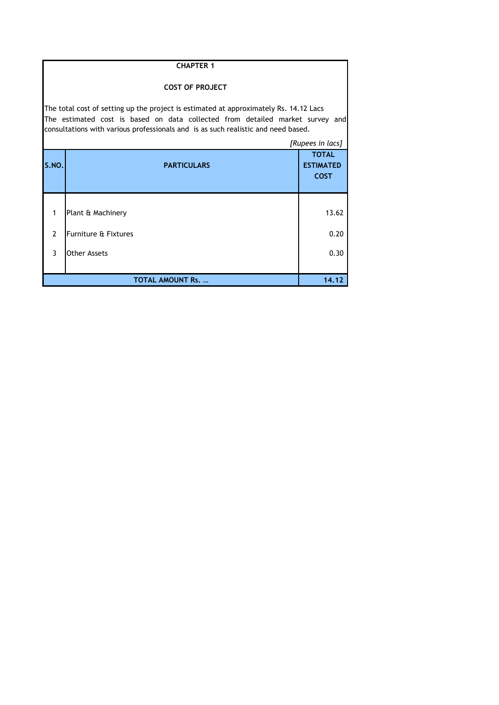|                                                                                                                                                                                                                                                             | <b>CHAPTER 1</b>                |                                                 |  |  |  |  |  |
|-------------------------------------------------------------------------------------------------------------------------------------------------------------------------------------------------------------------------------------------------------------|---------------------------------|-------------------------------------------------|--|--|--|--|--|
|                                                                                                                                                                                                                                                             | <b>COST OF PROJECT</b>          |                                                 |  |  |  |  |  |
| The total cost of setting up the project is estimated at approximately Rs. 14.12 Lacs<br>The estimated cost is based on data collected from detailed market survey and<br>consultations with various professionals and is as such realistic and need based. |                                 |                                                 |  |  |  |  |  |
|                                                                                                                                                                                                                                                             |                                 | [Rupees in lacs]                                |  |  |  |  |  |
| S.NO.                                                                                                                                                                                                                                                       | <b>PARTICULARS</b>              | <b>TOTAL</b><br><b>ESTIMATED</b><br><b>COST</b> |  |  |  |  |  |
|                                                                                                                                                                                                                                                             |                                 |                                                 |  |  |  |  |  |
| $\mathbf{1}$                                                                                                                                                                                                                                                | Plant & Machinery               | 13.62                                           |  |  |  |  |  |
| $\overline{2}$                                                                                                                                                                                                                                              | <b>Furniture &amp; Fixtures</b> | 0.20                                            |  |  |  |  |  |
| 3                                                                                                                                                                                                                                                           | Other Assets                    | 0.30                                            |  |  |  |  |  |
|                                                                                                                                                                                                                                                             | <b>TOTAL AMOUNT Rs. </b>        | 14.12                                           |  |  |  |  |  |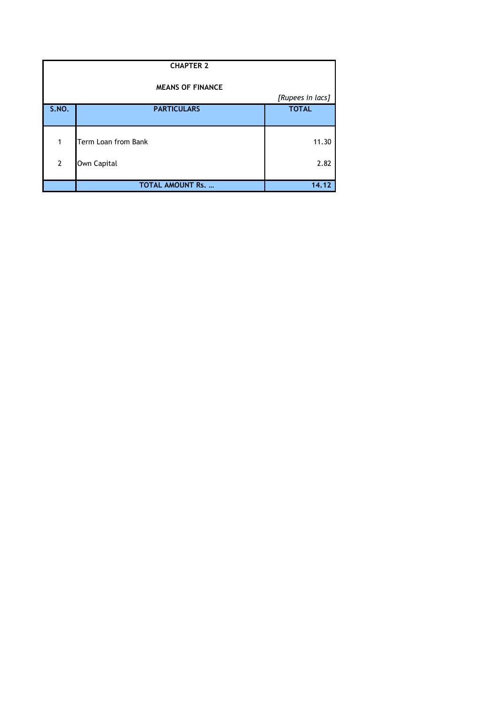|                | <b>CHAPTER 2</b>         |                  |  |  |  |  |  |  |
|----------------|--------------------------|------------------|--|--|--|--|--|--|
|                | <b>MEANS OF FINANCE</b>  |                  |  |  |  |  |  |  |
|                |                          | [Rupees in lacs] |  |  |  |  |  |  |
| S.NO.          | <b>PARTICULARS</b>       | <b>TOTAL</b>     |  |  |  |  |  |  |
|                |                          |                  |  |  |  |  |  |  |
| 1              | Term Loan from Bank      | 11.30            |  |  |  |  |  |  |
|                |                          |                  |  |  |  |  |  |  |
| $\overline{2}$ | Own Capital              | 2.82             |  |  |  |  |  |  |
|                | <b>TOTAL AMOUNT Rs. </b> | 14.12            |  |  |  |  |  |  |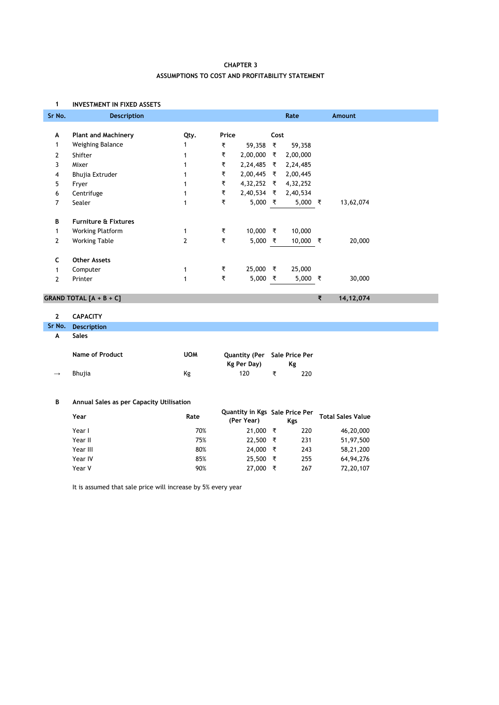## **ASSUMPTIONS TO COST AND PROFITABILITY STATEMENT CHAPTER 3**

#### **1 INVESTMENT IN FIXED ASSETS**

| Sr No.         | <b>Description</b>              |                |       |                 |      | Rate     |   | Amount    |
|----------------|---------------------------------|----------------|-------|-----------------|------|----------|---|-----------|
| А              | <b>Plant and Machinery</b>      | Qty.           | Price |                 | Cost |          |   |           |
| 1              | Weighing Balance                | $\mathbf{1}$   | ₹     | 59,358 ₹        |      | 59,358   |   |           |
| 2              | Shifter                         |                | ₹     | 2,00,000        | ₹    | 2,00,000 |   |           |
| 3              | Mixer                           |                | ₹     | 2,24,485 ₹      |      | 2,24,485 |   |           |
| 4              | Bhujia Extruder                 |                | ₹     | $2,00,445$ ₹    |      | 2,00,445 |   |           |
| 5              | Fryer                           |                | ₹     | 4,32,252 ₹      |      | 4,32,252 |   |           |
| 6              | Centrifuge                      |                | ₹     | $2,40,534$ ₹    |      | 2,40,534 |   |           |
| 7              | Sealer                          | 1              | ₹     | 5,000 ₹         |      | 5,000 ₹  |   | 13,62,074 |
| В              | <b>Furniture &amp; Fixtures</b> |                |       |                 |      |          |   |           |
| 1              | <b>Working Platform</b>         | 1              | ₹     | 10,000 ₹        |      | 10,000   |   |           |
| $\overline{2}$ | <b>Working Table</b>            | $\overline{2}$ | ₹     | 5,000 $\bar{x}$ |      | 10,000 ₹ |   | 20,000    |
| c              | <b>Other Assets</b>             |                |       |                 |      |          |   |           |
| 1              | Computer                        | 1              | ₹     | 25,000 ₹        |      | 25,000   |   |           |
| $\overline{2}$ | Printer                         | 1              | ₹     | 5,000 ₹         |      | 5,000 ₹  |   | 30,000    |
|                | GRAND TOTAL $[A + B + C]$       |                |       |                 |      |          | ₹ | 14,12,074 |

### **2 CAPACITY**

**Sr No. Description**

#### **A Sales**

|               | <b>Name of Product</b> | <b>UOM</b> | Quantity (Per Sale Price Per<br>Kg Per Day) | Κg |     |
|---------------|------------------------|------------|---------------------------------------------|----|-----|
| $\rightarrow$ | Bhuiia                 | Κg         | 120                                         |    | 220 |

#### **B Annual Sales as per Capacity Utilisation**

| Year     | Rate | Quantity in Kgs Sale Price Per<br>(Per Year) |   | Kgs | <b>Total Sales Value</b> |
|----------|------|----------------------------------------------|---|-----|--------------------------|
| Year I   | 70%  | 21,000                                       | ₹ | 220 | 46,20,000                |
| Year II  | 75%  | 22,500                                       | ₹ | 231 | 51,97,500                |
| Year III | 80%  | 24,000                                       | ₹ | 243 | 58,21,200                |
| Year IV  | 85%  | 25,500                                       | ₹ | 255 | 64,94,276                |
| Year V   | 90%  | 27,000                                       | ₹ | 267 | 72,20,107                |

It is assumed that sale price will increase by 5% every year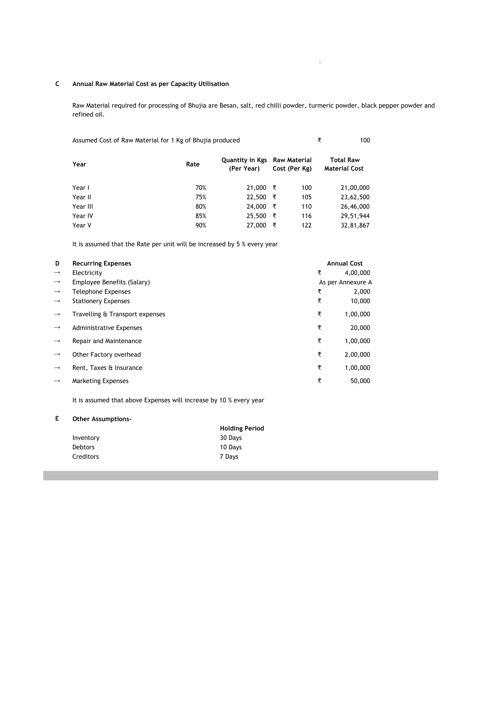#### **C Annual Raw Material Cost as per Capacity Utilisation**

Raw Material required for processing of Bhujia are Besan, salt, red chilli powder, turmeric powder, black pepper powder and refined oil.

`

| Assumed Cost of Raw Material for 1 Kg of Bhujia produced | ₹<br>100 |                               |                               |                                          |
|----------------------------------------------------------|----------|-------------------------------|-------------------------------|------------------------------------------|
| Year                                                     | Rate     | Quantity in Kgs<br>(Per Year) | Raw Material<br>Cost (Per Kg) | <b>Total Raw</b><br><b>Material Cost</b> |
| Year I                                                   | 70%      | 21,000                        | 100<br>₹                      | 21,00,000                                |
| Year II                                                  | 75%      | 22,500                        | ₹<br>105                      | 23,62,500                                |
| Year III                                                 | 80%      | 24,000                        | ₹<br>110                      | 26,46,000                                |
| Year IV                                                  | 85%      | 25,500                        | ₹<br>116                      | 29,51,944                                |
| Year V                                                   | 90%      | 27,000                        | ₹<br>122                      | 32,81,867                                |

It is assumed that the Rate per unit will be increased by 5 % every year

| D             | <b>Recurring Expenses</b>       |   | <b>Annual Cost</b> |
|---------------|---------------------------------|---|--------------------|
| $\rightarrow$ | Electricity                     | ₹ | 4,00,000           |
| $\rightarrow$ | Employee Benefits (Salary)      |   | As per Annexure A  |
| $\rightarrow$ | Telephone Expenses              | ₹ | 2,000              |
| $\rightarrow$ | <b>Stationery Expenses</b>      | ₹ | 10,000             |
| $\rightarrow$ | Travelling & Transport expenses | ₹ | 1,00,000           |
| $\rightarrow$ | <b>Administrative Expenses</b>  | ₹ | 20,000             |
| $\rightarrow$ | Repair and Maintenance          | ₹ | 1,00,000           |
| $\rightarrow$ | Other Factory overhead          | ₹ | 2,00,000           |
| $\rightarrow$ | Rent, Taxes & Insurance         | ₹ | 1,00,000           |
| $\rightarrow$ | <b>Marketing Expenses</b>       | ₹ | 50,000             |

It is assumed that above Expenses will increase by 10 % every year

#### **E Other Assumptions-**

|                | <b>Holding Period</b> |
|----------------|-----------------------|
| Inventory      | 30 Days               |
| <b>Debtors</b> | 10 Days               |
| Creditors      | 7 Davs                |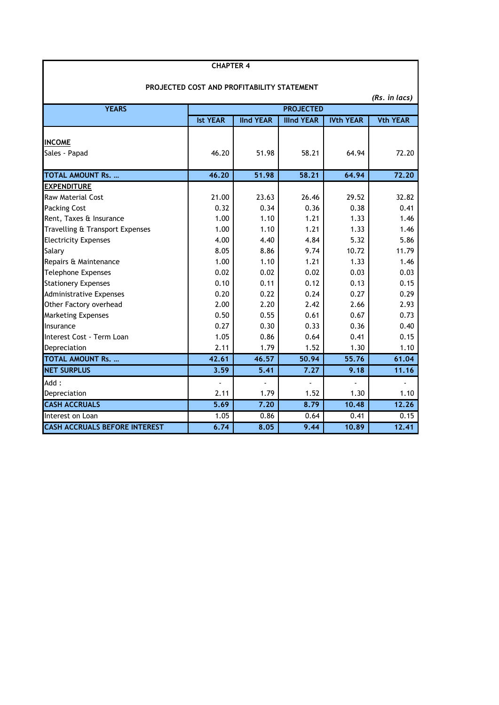| PROJECTED COST AND PROFITABILITY STATEMENT |                 |                  |                          |                  |                 |  |  |
|--------------------------------------------|-----------------|------------------|--------------------------|------------------|-----------------|--|--|
|                                            |                 |                  |                          |                  | (Rs. in lacs)   |  |  |
| <b>YEARS</b>                               |                 |                  | <b>PROJECTED</b>         |                  |                 |  |  |
|                                            | <b>Ist YEAR</b> | <b>IInd YEAR</b> | <b>Illnd YEAR</b>        | <b>IVth YEAR</b> | <b>Vth YEAR</b> |  |  |
|                                            |                 |                  |                          |                  |                 |  |  |
| <b>INCOME</b><br>Sales - Papad             | 46.20           | 51.98            | 58.21                    | 64.94            | 72.20           |  |  |
|                                            |                 |                  |                          |                  |                 |  |  |
| <b>TOTAL AMOUNT Rs. </b>                   | 46.20           | 51.98            | 58.21                    | 64.94            | 72.20           |  |  |
| <b>EXPENDITURE</b>                         |                 |                  |                          |                  |                 |  |  |
| <b>Raw Material Cost</b>                   | 21.00           | 23.63            | 26.46                    | 29.52            | 32.82           |  |  |
| <b>Packing Cost</b>                        | 0.32            | 0.34             | 0.36                     | 0.38             | 0.41            |  |  |
| Rent, Taxes & Insurance                    | 1.00            | 1.10             | 1.21                     | 1.33             | 1.46            |  |  |
| Travelling & Transport Expenses            | 1.00            | 1.10             | 1.21                     | 1.33             | 1.46            |  |  |
| <b>Electricity Expenses</b>                | 4.00            | 4.40             | 4.84                     | 5.32             | 5.86            |  |  |
| Salary                                     | 8.05            | 8.86             | 9.74                     | 10.72            | 11.79           |  |  |
| Repairs & Maintenance                      | 1.00            | 1.10             | 1.21                     | 1.33             | 1.46            |  |  |
| Telephone Expenses                         | 0.02            | 0.02             | 0.02                     | 0.03             | 0.03            |  |  |
| <b>Stationery Expenses</b>                 | 0.10            | 0.11             | 0.12                     | 0.13             | 0.15            |  |  |
| <b>Administrative Expenses</b>             | 0.20            | 0.22             | 0.24                     | 0.27             | 0.29            |  |  |
| Other Factory overhead                     | 2.00            | 2.20             | 2.42                     | 2.66             | 2.93            |  |  |
| <b>Marketing Expenses</b>                  | 0.50            | 0.55             | 0.61                     | 0.67             | 0.73            |  |  |
| Insurance                                  | 0.27            | 0.30             | 0.33                     | 0.36             | 0.40            |  |  |
| Interest Cost - Term Loan                  | 1.05            | 0.86             | 0.64                     | 0.41             | 0.15            |  |  |
| Depreciation                               | 2.11            | 1.79             | 1.52                     | 1.30             | 1.10            |  |  |
| <b>TOTAL AMOUNT Rs. </b>                   | 42.61           | 46.57            | 50.94                    | 55.76            | 61.04           |  |  |
| <b>NET SURPLUS</b>                         | 3.59            | 5.41             | 7.27                     | 9.18             | 11.16           |  |  |
| Add:                                       | $\overline{a}$  | ä,               | $\overline{\phantom{a}}$ | ä,               |                 |  |  |
| Depreciation                               | 2.11            | 1.79             | 1.52                     | 1.30             | 1.10            |  |  |
| <b>CASH ACCRUALS</b>                       | 5.69            | 7.20             | 8.79                     | 10.48            | 12.26           |  |  |
| Interest on Loan                           | 1.05            | 0.86             | 0.64                     | 0.41             | 0.15            |  |  |
| <b>CASH ACCRUALS BEFORE INTEREST</b>       | 6.74            | 8.05             | 9.44                     | 10.89            | 12.41           |  |  |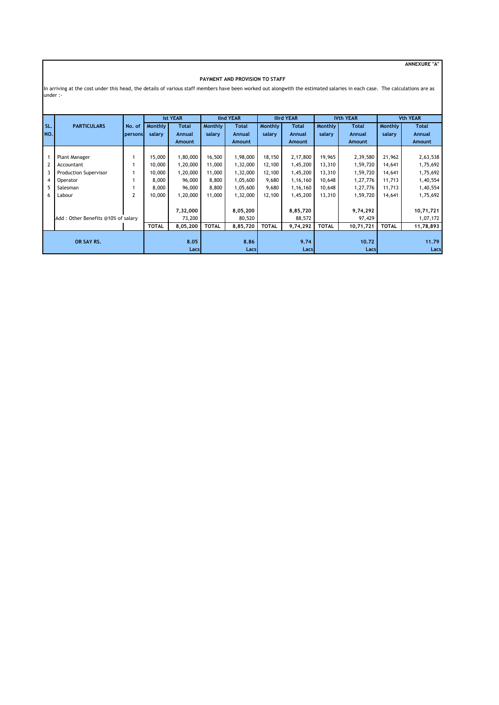**ANNEXURE "A"**

#### **PAYMENT AND PROVISION TO STAFF**

In arriving at the cost under this head, the details of various staff members have been worked out alongwith the estimated salaries in each case. The calculations are as under :-

|                               |                                                                                        |                   |                                                        | <b>Ist YEAR</b>                                                  |                                                        | <b>IInd YEAR</b>                                                     |                                                        | <b>Illrd YEAR</b>                                                    |                                                          | <b>IVth YEAR</b>                                                     |                                                          | <b>Vth YEAR</b>                                                      |
|-------------------------------|----------------------------------------------------------------------------------------|-------------------|--------------------------------------------------------|------------------------------------------------------------------|--------------------------------------------------------|----------------------------------------------------------------------|--------------------------------------------------------|----------------------------------------------------------------------|----------------------------------------------------------|----------------------------------------------------------------------|----------------------------------------------------------|----------------------------------------------------------------------|
| SL.<br>NO.                    | <b>PARTICULARS</b>                                                                     | No. of<br>persons | Monthly<br>salary                                      | Total<br>Annual                                                  | Monthly<br>salary                                      | <b>Total</b><br>Annual                                               | Monthly<br>salary                                      | <b>Total</b><br>Annual                                               | Monthly<br>salary                                        | <b>Total</b><br>Annual                                               | Monthly<br>salary                                        | <b>Total</b><br>Annual                                               |
|                               |                                                                                        |                   |                                                        | Amount                                                           |                                                        | Amount                                                               |                                                        | <b>Amount</b>                                                        |                                                          | Amount                                                               |                                                          | <b>Amount</b>                                                        |
| $\overline{2}$<br>4<br>5<br>6 | Plant Manager<br>Accountant<br>Production Supervisor<br>Operator<br>Salesman<br>Labour | 2                 | 15,000<br>10,000<br>10,000<br>8,000<br>8,000<br>10,000 | 1,80,000<br>1,20,000<br>1,20,000<br>96,000<br>96,000<br>1,20,000 | 16,500<br>11,000<br>11,000<br>8,800<br>8,800<br>11,000 | 1,98,000<br>1,32,000<br>1,32,000<br>1,05,600<br>1,05,600<br>1,32,000 | 18,150<br>12,100<br>12,100<br>9,680<br>9,680<br>12,100 | 2,17,800<br>1,45,200<br>1,45,200<br>1,16,160<br>1,16,160<br>1,45,200 | 19,965<br>13,310<br>13,310<br>10,648<br>10,648<br>13,310 | 2,39,580<br>1,59,720<br>1,59,720<br>1,27,776<br>1,27,776<br>1,59,720 | 21,962<br>14,641<br>14,641<br>11,713<br>11,713<br>14,641 | 2,63,538<br>1,75,692<br>1,75,692<br>1,40,554<br>1,40,554<br>1,75,692 |
|                               | Add: Other Benefits @10% of salary                                                     |                   | <b>TOTAL</b>                                           | 7,32,000<br>73,200<br>8,05,200                                   | <b>TOTAL</b>                                           | 8,05,200<br>80,520<br>8,85,720                                       | <b>TOTAL</b>                                           | 8,85,720<br>88,572<br>9,74,292                                       | <b>TOTAL</b>                                             | 9,74,292<br>97,429<br>10,71,721                                      | <b>TOTAL</b>                                             | 10,71,721<br>1,07,172<br>11,78,893                                   |
| OR SAY RS.                    |                                                                                        |                   | 8.05<br>Lacs                                           |                                                                  | 8.86<br><b>Lacs</b>                                    |                                                                      | 9.74<br>Lacs                                           |                                                                      | 10.72<br>Lacs                                            |                                                                      | 11.79<br>Lacs                                            |                                                                      |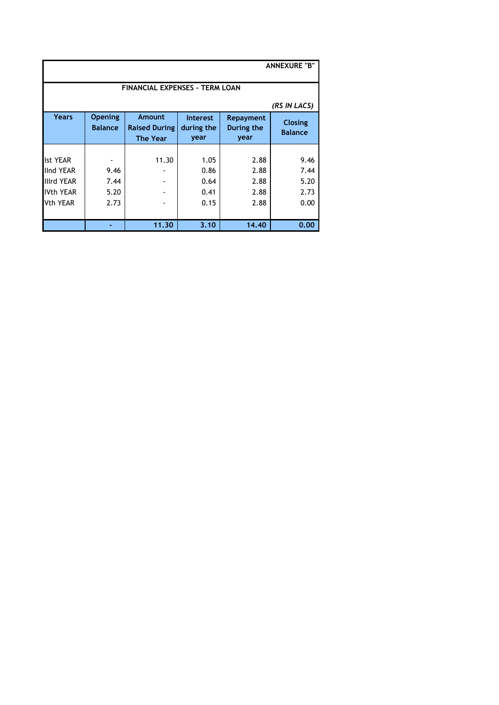| <b>ANNEXURE "B"</b>                                                                             |                                  |                                                   |                                       |                                      |                                      |  |  |  |  |  |
|-------------------------------------------------------------------------------------------------|----------------------------------|---------------------------------------------------|---------------------------------------|--------------------------------------|--------------------------------------|--|--|--|--|--|
| <b>FINANCIAL EXPENSES - TERM LOAN</b>                                                           |                                  |                                                   |                                       |                                      |                                      |  |  |  |  |  |
|                                                                                                 |                                  |                                                   |                                       |                                      | (RS IN LACS)                         |  |  |  |  |  |
| <b>Years</b>                                                                                    | <b>Opening</b><br><b>Balance</b> | Amount<br><b>Raised During</b><br><b>The Year</b> | <b>Interest</b><br>during the<br>year | Repayment<br>During the<br>year      | Closing<br><b>Balance</b>            |  |  |  |  |  |
| <b>Ist YEAR</b><br><b>IInd YEAR</b><br><b>Illrd YEAR</b><br><b>IVth YEAR</b><br><b>Vth YEAR</b> | 9.46<br>7.44<br>5.20<br>2.73     | 11.30                                             | 1.05<br>0.86<br>0.64<br>0.41<br>0.15  | 2.88<br>2.88<br>2.88<br>2.88<br>2.88 | 9.46<br>7.44<br>5.20<br>2.73<br>0.00 |  |  |  |  |  |
|                                                                                                 |                                  | 11.30                                             | 3.10                                  | 14.40                                | 0.00                                 |  |  |  |  |  |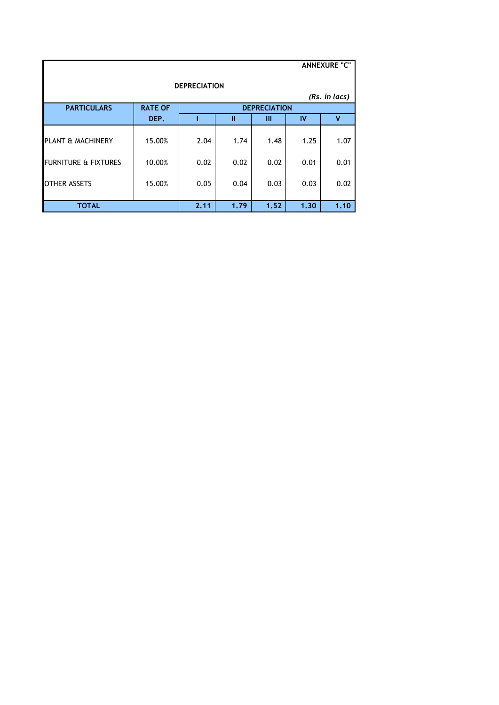|                                 |                |      |      |                     |      | <b>ANNEXURE "C"</b> |
|---------------------------------|----------------|------|------|---------------------|------|---------------------|
| <b>DEPRECIATION</b>             |                |      |      |                     |      |                     |
| (Rs. in lacs)                   |                |      |      |                     |      |                     |
| <b>PARTICULARS</b>              | <b>RATE OF</b> |      |      | <b>DEPRECIATION</b> |      |                     |
|                                 | DEP.           |      | Ш    | Ш                   | IV   | ۷                   |
| PLANT & MACHINERY               | 15.00%         | 2.04 | 1.74 | 1.48                | 1.25 | 1.07                |
| <b>FURNITURE &amp; FIXTURES</b> | 10.00%         | 0.02 | 0.02 | 0.02                | 0.01 | 0.01                |
| <b>OTHER ASSETS</b>             | 15.00%         | 0.05 | 0.04 | 0.03                | 0.03 | 0.02                |
| <b>TOTAL</b>                    |                | 2.11 | 1.79 | 1.52                | 1.30 | 1.10                |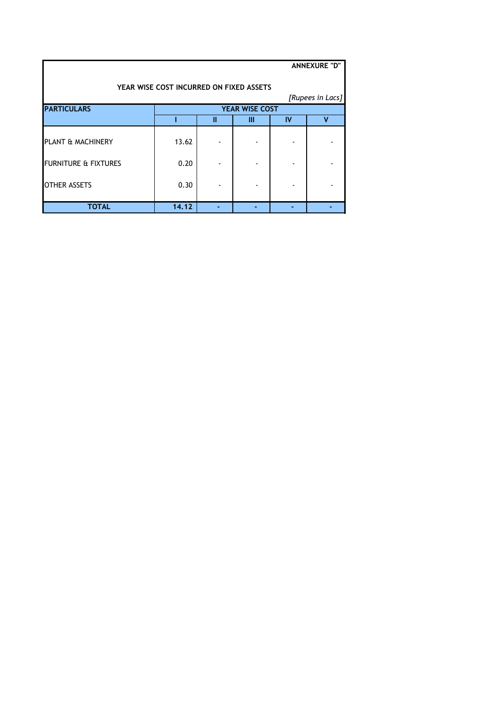|                                         |       |   |                       |    | <b>ANNEXURE "D"</b> |  |  |  |
|-----------------------------------------|-------|---|-----------------------|----|---------------------|--|--|--|
| YEAR WISE COST INCURRED ON FIXED ASSETS |       |   |                       |    |                     |  |  |  |
|                                         |       |   |                       |    | [Rupees in Lacs]    |  |  |  |
| <b>PARTICULARS</b>                      |       |   | <b>YEAR WISE COST</b> |    |                     |  |  |  |
|                                         |       | Ш | Ш                     | IV | v                   |  |  |  |
| PLANT & MACHINERY                       | 13.62 |   |                       |    |                     |  |  |  |
| FURNITURE & FIXTURES                    | 0.20  |   |                       |    |                     |  |  |  |
| <b>OTHER ASSETS</b>                     | 0.30  |   |                       |    |                     |  |  |  |
| <b>TOTAL</b>                            | 14.12 |   |                       |    |                     |  |  |  |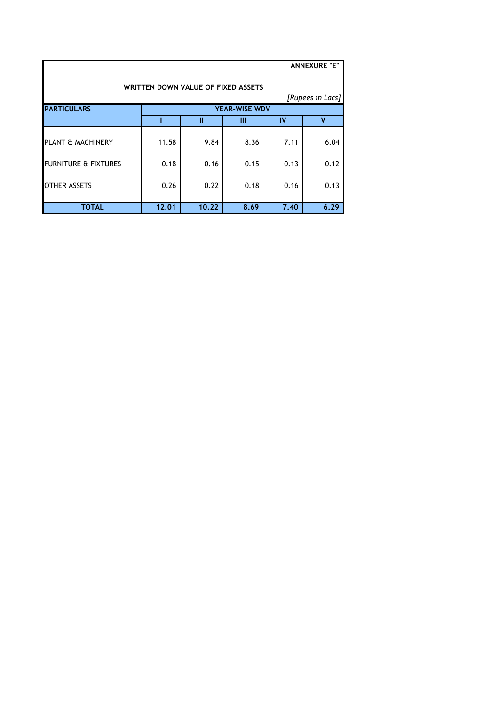|                                    |       |       |                      |      | <b>ANNEXURE "E"</b> |  |  |  |
|------------------------------------|-------|-------|----------------------|------|---------------------|--|--|--|
| WRITTEN DOWN VALUE OF FIXED ASSETS |       |       |                      |      |                     |  |  |  |
|                                    |       |       |                      |      | [Rupees in Lacs]    |  |  |  |
| <b>PARTICULARS</b>                 |       |       | <b>YEAR-WISE WDV</b> |      |                     |  |  |  |
|                                    |       | Ш     | Ш                    | IV   | v                   |  |  |  |
| PLANT & MACHINERY                  | 11.58 | 9.84  | 8.36                 | 7.11 | 6.04                |  |  |  |
| <b>FURNITURE &amp; FIXTURES</b>    | 0.18  | 0.16  | 0.15                 | 0.13 | 0.12                |  |  |  |
| <b>OTHER ASSETS</b>                | 0.26  | 0.22  | 0.18                 | 0.16 | 0.13                |  |  |  |
| <b>TOTAL</b>                       | 12.01 | 10.22 | 8.69                 | 7.40 | 6.29                |  |  |  |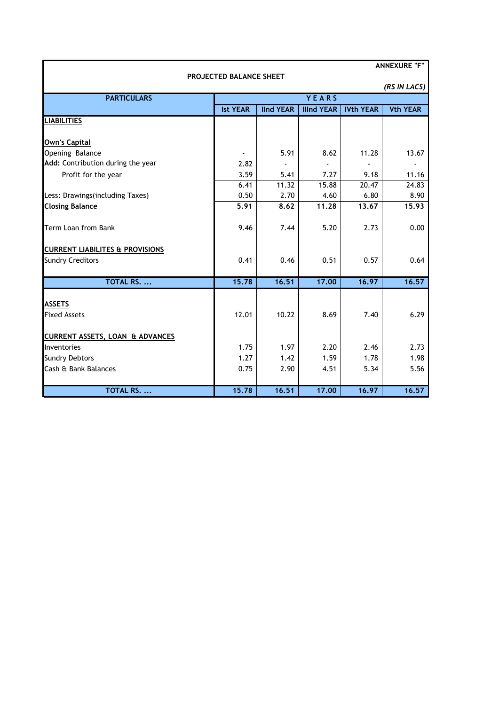| <b>ANNEXURE "F"</b>                        |                                |                  |                   |                  |                 |  |
|--------------------------------------------|--------------------------------|------------------|-------------------|------------------|-----------------|--|
|                                            | <b>PROJECTED BALANCE SHEET</b> |                  |                   |                  |                 |  |
|                                            |                                |                  |                   |                  | (RS IN LACS)    |  |
| <b>PARTICULARS</b>                         |                                |                  | YEARS             |                  |                 |  |
|                                            | <b>Ist YEAR</b>                | <b>IInd YEAR</b> | <b>Illnd YEAR</b> | <b>IVth YEAR</b> | <b>Vth YEAR</b> |  |
| <b>LIABILITIES</b>                         |                                |                  |                   |                  |                 |  |
|                                            |                                |                  |                   |                  |                 |  |
| <b>Own's Capital</b>                       |                                |                  |                   |                  |                 |  |
| Opening Balance                            |                                | 5.91             | 8.62              | 11.28            | 13.67           |  |
| Add: Contribution during the year          | 2.82                           |                  |                   |                  |                 |  |
| Profit for the year                        | 3.59                           | 5.41             | 7.27              | 9.18             | 11.16           |  |
|                                            | 6.41                           | 11.32            | 15.88             | 20.47            | 24.83           |  |
| Less: Drawings(including Taxes)            | 0.50                           | 2.70             | 4.60              | 6.80             | 8.90            |  |
| <b>Closing Balance</b>                     | 5.91                           | 8.62             | 11.28             | 13.67            | 15.93           |  |
|                                            |                                |                  |                   |                  |                 |  |
| Term Loan from Bank                        | 9.46                           | 7.44             | 5.20              | 2.73             | 0.00            |  |
|                                            |                                |                  |                   |                  |                 |  |
| <b>CURRENT LIABILITES &amp; PROVISIONS</b> |                                |                  |                   |                  |                 |  |
| <b>Sundry Creditors</b>                    | 0.41                           | 0.46             | 0.51              | 0.57             | 0.64            |  |
|                                            |                                |                  |                   |                  |                 |  |
| TOTAL RS.                                  | 15.78                          | 16.51            | 17.00             | 16.97            | 16.57           |  |
|                                            |                                |                  |                   |                  |                 |  |
| <b>ASSETS</b>                              |                                |                  |                   |                  |                 |  |
| <b>Fixed Assets</b>                        | 12.01                          | 10.22            | 8.69              | 7.40             | 6.29            |  |
| <b>CURRENT ASSETS, LOAN &amp; ADVANCES</b> |                                |                  |                   |                  |                 |  |
| Inventories                                | 1.75                           | 1.97             | 2.20              | 2.46             | 2.73            |  |
| <b>Sundry Debtors</b>                      | 1.27                           | 1.42             | 1.59              | 1.78             | 1.98            |  |
| Cash & Bank Balances                       | 0.75                           | 2.90             | 4.51              | 5.34             | 5.56            |  |
|                                            |                                |                  |                   |                  |                 |  |
| TOTAL RS.                                  | 15.78                          | 16.51            | 17.00             | 16.97            | 16.57           |  |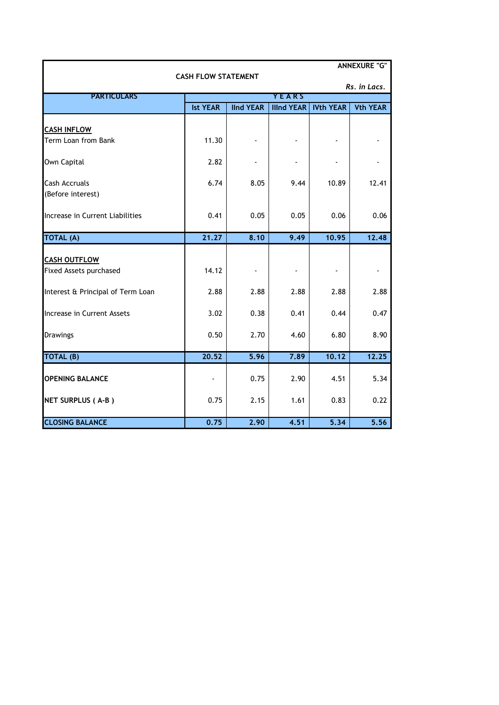| <b>ANNEXURE "G"</b><br><b>CASH FLOW STATEMENT</b> |                 |                  |                   |                  |                 |  |  |
|---------------------------------------------------|-----------------|------------------|-------------------|------------------|-----------------|--|--|
|                                                   |                 |                  |                   |                  | Rs. in Lacs.    |  |  |
| <b>PARTICULARS</b>                                |                 |                  | <b>YEARS</b>      |                  |                 |  |  |
|                                                   | <b>Ist YEAR</b> | <b>IInd YEAR</b> | <b>Illnd YEAR</b> | <b>IVth YEAR</b> | <b>Vth YEAR</b> |  |  |
| <b>CASH INFLOW</b>                                |                 |                  |                   |                  |                 |  |  |
| Term Loan from Bank                               | 11.30           |                  |                   |                  |                 |  |  |
| Own Capital                                       | 2.82            |                  |                   |                  |                 |  |  |
| <b>Cash Accruals</b><br>(Before interest)         | 6.74            | 8.05             | 9.44              | 10.89            | 12.41           |  |  |
| Increase in Current Liabilities                   | 0.41            | 0.05             | 0.05              | 0.06             | 0.06            |  |  |
| <b>TOTAL (A)</b>                                  | 21.27           | 8.10             | 9.49              | 10.95            | 12.48           |  |  |
| <b>CASH OUTFLOW</b>                               |                 |                  |                   |                  |                 |  |  |
| Fixed Assets purchased                            | 14.12           |                  |                   |                  |                 |  |  |
| Interest & Principal of Term Loan                 | 2.88            | 2.88             | 2.88              | 2.88             | 2.88            |  |  |
| Increase in Current Assets                        | 3.02            | 0.38             | 0.41              | 0.44             | 0.47            |  |  |
| <b>Drawings</b>                                   | 0.50            | 2.70             | 4.60              | 6.80             | 8.90            |  |  |
| TOTAL (B)                                         | 20.52           | 5.96             | 7.89              | 10.12            | 12.25           |  |  |
| <b>OPENING BALANCE</b>                            |                 | 0.75             | 2.90              | 4.51             | 5.34            |  |  |
| NET SURPLUS (A-B)                                 | 0.75            | 2.15             | 1.61              | 0.83             | 0.22            |  |  |
| <b>CLOSING BALANCE</b>                            | 0.75            | 2.90             | 4.51              | 5.34             | 5.56            |  |  |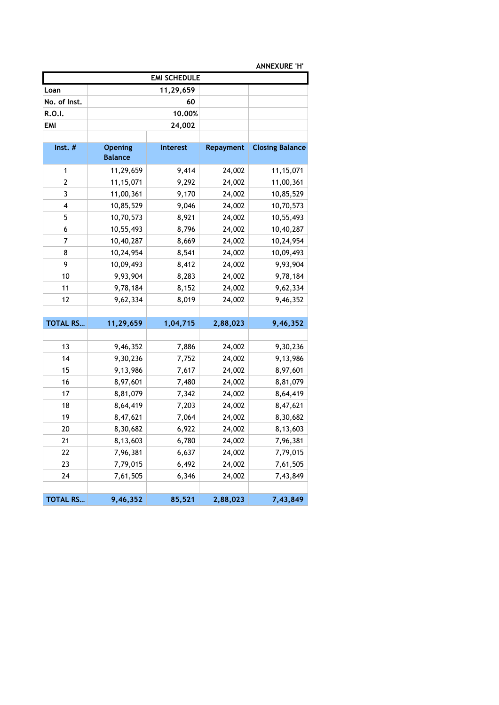| <b>ANNEXURE 'H'</b> |                |                 |                  |                        |  |  |  |
|---------------------|----------------|-----------------|------------------|------------------------|--|--|--|
| <b>EMI SCHEDULE</b> |                |                 |                  |                        |  |  |  |
| Loan                |                | 11,29,659       |                  |                        |  |  |  |
| No. of Inst.        |                | 60              |                  |                        |  |  |  |
| R.O.I.              |                | 10.00%          |                  |                        |  |  |  |
| <b>EMI</b>          |                | 24,002          |                  |                        |  |  |  |
|                     |                |                 |                  |                        |  |  |  |
| $Inst.$ #           | <b>Opening</b> | <b>Interest</b> | <b>Repayment</b> | <b>Closing Balance</b> |  |  |  |
|                     | <b>Balance</b> |                 |                  |                        |  |  |  |
| 1                   | 11,29,659      | 9,414           | 24,002           | 11, 15, 071            |  |  |  |
| 2                   | 11,15,071      | 9,292           | 24,002           | 11,00,361              |  |  |  |
| 3                   | 11,00,361      | 9,170           | 24,002           | 10,85,529              |  |  |  |
| 4                   | 10,85,529      | 9,046           | 24,002           | 10,70,573              |  |  |  |
| 5                   | 10,70,573      | 8,921           | 24,002           | 10,55,493              |  |  |  |
| 6                   | 10,55,493      | 8,796           | 24,002           | 10,40,287              |  |  |  |
| 7                   | 10,40,287      | 8,669           | 24,002           | 10,24,954              |  |  |  |
| 8                   | 10,24,954      | 8,541           | 24,002           | 10,09,493              |  |  |  |
| 9                   | 10,09,493      | 8,412           | 24,002           | 9,93,904               |  |  |  |
| 10                  | 9,93,904       | 8,283           | 24,002           | 9,78,184               |  |  |  |
| 11                  | 9,78,184       | 8,152           | 24,002           | 9,62,334               |  |  |  |
| 12                  | 9,62,334       | 8,019           | 24,002           | 9,46,352               |  |  |  |
|                     |                |                 |                  |                        |  |  |  |
| <b>TOTAL RS</b>     | 11,29,659      | 1,04,715        | 2,88,023         | 9,46,352               |  |  |  |
|                     |                |                 |                  |                        |  |  |  |
| 13                  | 9,46,352       | 7,886           | 24,002           | 9,30,236               |  |  |  |
| 14                  | 9,30,236       | 7,752           | 24,002           | 9,13,986               |  |  |  |
| 15                  | 9,13,986       | 7,617           | 24,002           | 8,97,601               |  |  |  |
| 16                  | 8,97,601       | 7,480           | 24,002           | 8,81,079               |  |  |  |
| 17                  | 8,81,079       | 7,342           | 24,002           | 8,64,419               |  |  |  |
| 18                  | 8,64,419       | 7,203           | 24,002           | 8,47,621               |  |  |  |
| 19                  | 8,47,621       | 7,064           | 24,002           | 8,30,682               |  |  |  |
| 20                  | 8,30,682       | 6,922           | 24,002           | 8,13,603               |  |  |  |
| 21                  | 8,13,603       | 6,780           | 24,002           | 7,96,381               |  |  |  |
| 22                  | 7,96,381       | 6,637           | 24,002           | 7,79,015               |  |  |  |
| 23                  | 7,79,015       | 6,492           | 24,002           | 7,61,505               |  |  |  |
| 24                  | 7,61,505       | 6,346           | 24,002           | 7,43,849               |  |  |  |
|                     |                |                 |                  |                        |  |  |  |
| <b>TOTAL RS</b>     | 9,46,352       | 85,521          | 2,88,023         | 7,43,849               |  |  |  |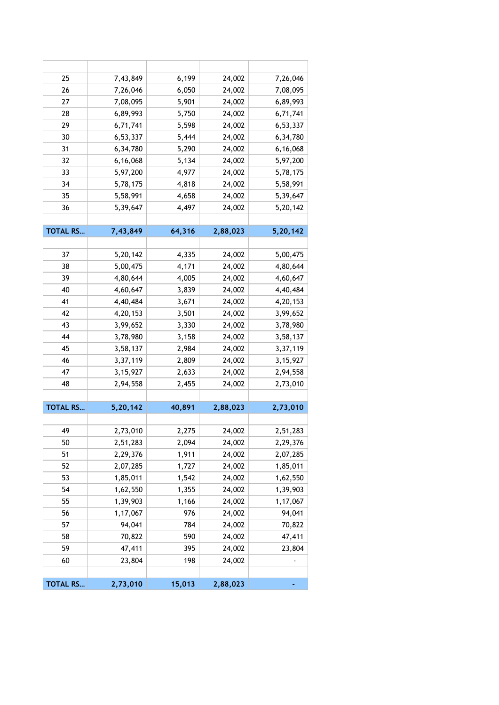| 25              | 7,43,849   | 6,199  | 24,002   | 7,26,046   |
|-----------------|------------|--------|----------|------------|
| 26              | 7,26,046   | 6,050  | 24,002   | 7,08,095   |
| 27              | 7,08,095   | 5,901  | 24,002   | 6,89,993   |
| 28              | 6,89,993   | 5,750  | 24,002   | 6,71,741   |
| 29              | 6,71,741   | 5,598  | 24,002   | 6,53,337   |
| 30              | 6,53,337   | 5,444  | 24,002   | 6,34,780   |
| 31              | 6,34,780   | 5,290  | 24,002   | 6,16,068   |
| 32              | 6,16,068   | 5,134  | 24,002   | 5,97,200   |
| 33              | 5,97,200   | 4,977  | 24,002   | 5,78,175   |
| 34              | 5,78,175   | 4,818  | 24,002   | 5,58,991   |
| 35              | 5,58,991   | 4,658  | 24,002   | 5,39,647   |
| 36              | 5,39,647   | 4,497  | 24,002   | 5,20,142   |
|                 |            |        |          |            |
| <b>TOTAL RS</b> | 7,43,849   | 64,316 | 2,88,023 | 5,20,142   |
|                 |            |        |          |            |
| 37              | 5,20,142   | 4,335  | 24,002   | 5,00,475   |
| 38              | 5,00,475   | 4,171  | 24,002   | 4,80,644   |
| 39              | 4,80,644   | 4,005  | 24,002   | 4,60,647   |
| 40              | 4,60,647   | 3,839  | 24,002   | 4,40,484   |
| 41              | 4,40,484   | 3,671  | 24,002   | 4,20,153   |
| 42              | 4,20,153   | 3,501  | 24,002   | 3,99,652   |
| 43              | 3,99,652   | 3,330  | 24,002   | 3,78,980   |
| 44              | 3,78,980   | 3,158  | 24,002   | 3,58,137   |
| 45              | 3,58,137   | 2,984  | 24,002   | 3,37,119   |
| 46              | 3,37,119   | 2,809  | 24,002   | 3, 15, 927 |
| 47              | 3, 15, 927 | 2,633  | 24,002   | 2,94,558   |
| 48              | 2,94,558   | 2,455  | 24,002   | 2,73,010   |
|                 |            |        |          |            |
| <b>TOTAL RS</b> | 5,20,142   | 40,891 | 2,88,023 | 2,73,010   |
|                 |            |        |          |            |
| 49              | 2,73,010   | 2,275  | 24,002   | 2,51,283   |
| 50              | 2,51,283   | 2,094  | 24,002   | 2,29,376   |
| 51              | 2,29,376   | 1,911  | 24,002   | 2,07,285   |
| 52              | 2,07,285   | 1,727  | 24,002   | 1,85,011   |
| 53              | 1,85,011   | 1,542  | 24,002   | 1,62,550   |
| 54              | 1,62,550   | 1,355  | 24,002   | 1,39,903   |
| 55              | 1,39,903   | 1,166  | 24,002   | 1,17,067   |
| 56              | 1,17,067   | 976    | 24,002   | 94,041     |
| 57              | 94,041     | 784    | 24,002   | 70,822     |
| 58              | 70,822     | 590    | 24,002   | 47,411     |
| 59              | 47,411     | 395    | 24,002   | 23,804     |
| 60              | 23,804     | 198    | 24,002   |            |
|                 |            |        |          |            |
| <b>TOTAL RS</b> | 2,73,010   | 15,013 | 2,88,023 |            |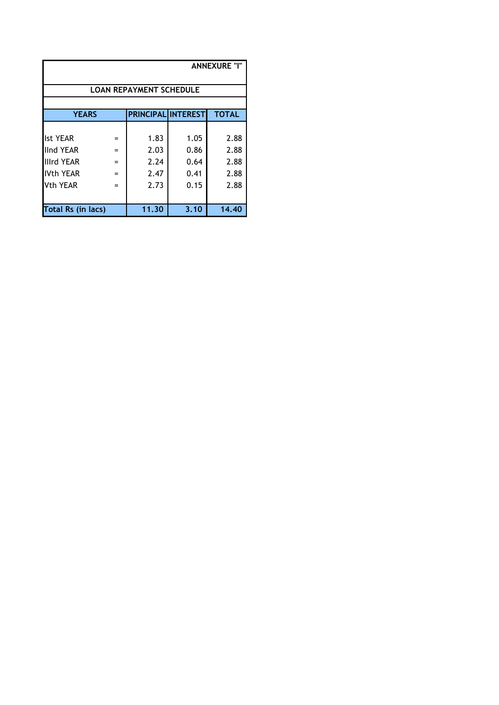| <b>ANNEXURE "I"</b>                          |     |                                |      |              |  |  |
|----------------------------------------------|-----|--------------------------------|------|--------------|--|--|
|                                              |     | <b>LOAN REPAYMENT SCHEDULE</b> |      |              |  |  |
|                                              |     |                                |      |              |  |  |
| <b>YEARS</b>                                 |     | <b>PRINCIPAL INTEREST</b>      |      | <b>TOTAL</b> |  |  |
|                                              |     |                                |      |              |  |  |
| llst YEAR                                    | $=$ | 1.83                           | 1.05 | 2.88         |  |  |
| llnd YEAR                                    | $=$ | 2.03                           | 0.86 | 2.88         |  |  |
| Illird YEAR                                  | $=$ | 2.24                           | 0.64 | 2.88         |  |  |
| <b>IVth YEAR</b>                             | $=$ | 2.47                           | 0.41 | 2.88         |  |  |
| Vth YEAR                                     | $=$ | 2.73                           | 0.15 | 2.88         |  |  |
|                                              |     |                                |      |              |  |  |
| Total Rs (in lacs)<br>14.40<br>3.10<br>11.30 |     |                                |      |              |  |  |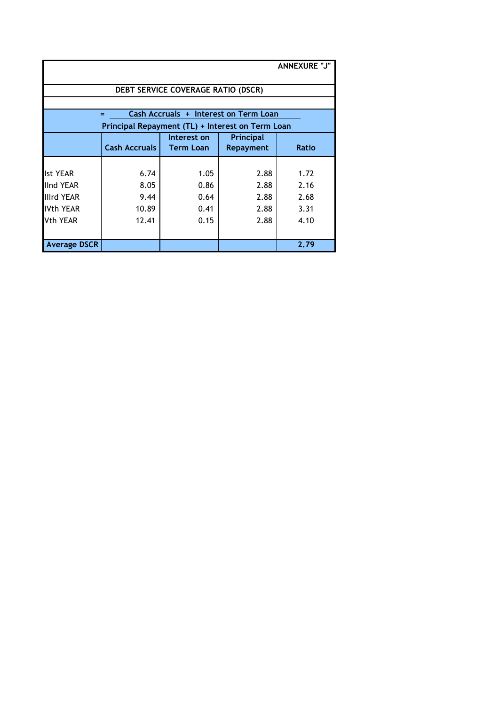| <b>ANNEXURE "J"</b> |                                                  |                                    |                                       |              |  |  |
|---------------------|--------------------------------------------------|------------------------------------|---------------------------------------|--------------|--|--|
|                     |                                                  | DEBT SERVICE COVERAGE RATIO (DSCR) |                                       |              |  |  |
|                     |                                                  |                                    |                                       |              |  |  |
|                     | $=$                                              |                                    | Cash Accruals + Interest on Term Loan |              |  |  |
|                     | Principal Repayment (TL) + Interest on Term Loan |                                    |                                       |              |  |  |
|                     |                                                  | Interest on                        | Principal                             |              |  |  |
|                     | <b>Cash Accruals</b>                             | <b>Term Loan</b>                   | Repayment                             | <b>Ratio</b> |  |  |
|                     |                                                  |                                    |                                       |              |  |  |
| <b>Ist YEAR</b>     | 6.74                                             | 1.05                               | 2.88                                  | 1.72         |  |  |
| <b>IInd YEAR</b>    | 8.05                                             | 0.86                               | 2.88                                  | 2.16         |  |  |
| <b>Illrd YEAR</b>   | 9.44                                             | 0.64                               | 2.88                                  | 2.68         |  |  |
| <b>IVth YEAR</b>    | 10.89                                            | 0.41                               | 2.88                                  | 3.31         |  |  |
| Vth YEAR            | 12.41                                            | 0.15                               | 2.88                                  | 4.10         |  |  |
|                     |                                                  |                                    |                                       |              |  |  |
| <b>Average DSCR</b> |                                                  |                                    |                                       | 2.79         |  |  |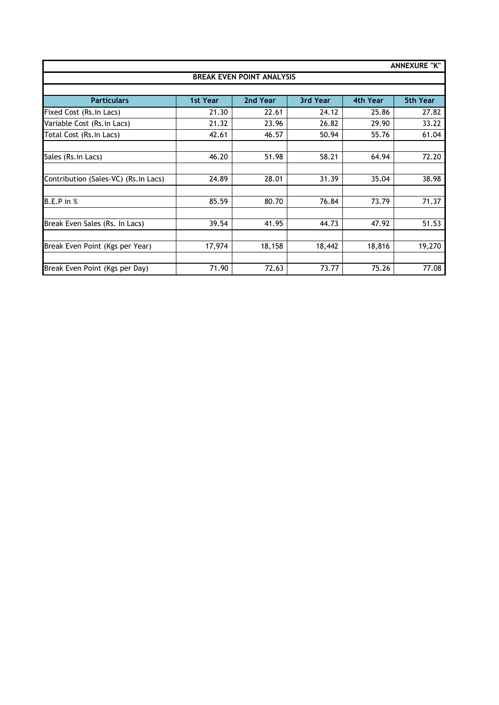| <b>ANNEXURE "K"</b>                  |          |          |          |          |                 |  |  |  |  |
|--------------------------------------|----------|----------|----------|----------|-----------------|--|--|--|--|
| <b>BREAK EVEN POINT ANALYSIS</b>     |          |          |          |          |                 |  |  |  |  |
|                                      |          |          |          |          |                 |  |  |  |  |
| <b>Particulars</b>                   | 1st Year | 2nd Year | 3rd Year | 4th Year | <b>5th Year</b> |  |  |  |  |
| Fixed Cost (Rs.in Lacs)              | 21.30    | 22.61    | 24.12    | 25.86    | 27.82           |  |  |  |  |
| Variable Cost (Rs.in Lacs)           | 21.32    | 23.96    | 26.82    | 29.90    | 33.22           |  |  |  |  |
| Total Cost (Rs.in Lacs)              | 42.61    | 46.57    | 50.94    | 55.76    | 61.04           |  |  |  |  |
|                                      |          |          |          |          |                 |  |  |  |  |
| Sales (Rs. in Lacs)                  | 46.20    | 51.98    | 58.21    | 64.94    | 72.20           |  |  |  |  |
|                                      |          |          |          |          |                 |  |  |  |  |
| Contribution (Sales-VC) (Rs.in Lacs) | 24.89    | 28.01    | 31.39    | 35.04    | 38.98           |  |  |  |  |
|                                      |          |          |          |          |                 |  |  |  |  |
| <b>B.E.P</b> in %                    | 85.59    | 80.70    | 76.84    | 73.79    | 71.37           |  |  |  |  |
| Break Even Sales (Rs. In Lacs)       | 39.54    | 41.95    | 44.73    | 47.92    | 51.53           |  |  |  |  |
|                                      |          |          |          |          |                 |  |  |  |  |
| Break Even Point (Kgs per Year)      | 17,974   | 18,158   | 18,442   | 18,816   | 19,270          |  |  |  |  |
|                                      |          |          |          |          |                 |  |  |  |  |
| Break Even Point (Kgs per Day)       | 71.90    | 72.63    | 73.77    | 75.26    | 77.08           |  |  |  |  |